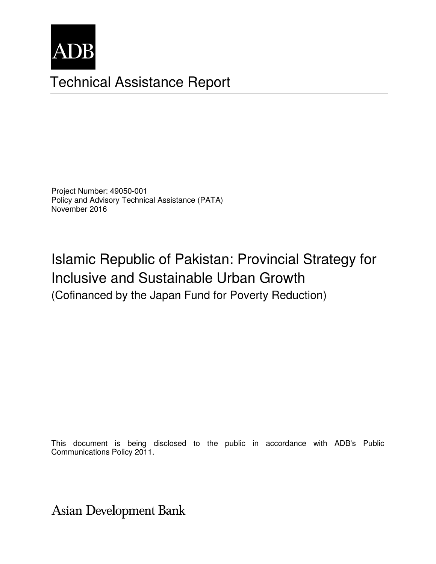

# Technical Assistance Report

Project Number: 49050-001 Policy and Advisory Technical Assistance (PATA) November 2016

# Islamic Republic of Pakistan: Provincial Strategy for Inclusive and Sustainable Urban Growth (Cofinanced by the Japan Fund for Poverty Reduction)

This document is being disclosed to the public in accordance with ADB's Public Communications Policy 2011.

**Asian Development Bank**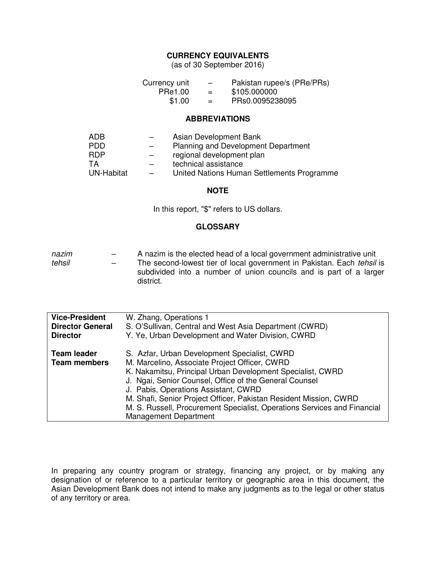# **CURRENCY EQUIVALENTS**

(as of 30 September 2016)

| Currency unit | $\overline{\phantom{0}}$ | Pakistan rupee/s (PRe/PRs) |
|---------------|--------------------------|----------------------------|
| PRe1.00       | $=$                      | \$105.000000               |
| \$1.00        | $=$                      | PRs0.0095238095            |

#### **ABBREVIATIONS**

| ADB        |                          | Asian Development Bank                     |
|------------|--------------------------|--------------------------------------------|
| <b>PDD</b> | $-$                      | <b>Planning and Development Department</b> |
| <b>RDP</b> |                          | regional development plan                  |
| TA         |                          | technical assistance                       |
| UN-Habitat | $\overline{\phantom{0}}$ | United Nations Human Settlements Programme |

#### **NOTE**

In this report, "\$" refers to US dollars.

# **GLOSSARY**

| nazim  | $\overline{\phantom{0}}$ | A nazim is the elected head of a local government administrative unit           |  |  |  |
|--------|--------------------------|---------------------------------------------------------------------------------|--|--|--|
| tehsil | $\overline{\phantom{0}}$ | The second-lowest tier of local government in Pakistan. Each tehsil is          |  |  |  |
|        |                          | subdivided into a number of union councils and is part of a larger<br>district. |  |  |  |

| <b>Vice-President</b>                     | W. Zhang, Operations 1                                                                                                                                                                                                                                                                                                                                                                                                                         |
|-------------------------------------------|------------------------------------------------------------------------------------------------------------------------------------------------------------------------------------------------------------------------------------------------------------------------------------------------------------------------------------------------------------------------------------------------------------------------------------------------|
| <b>Director General</b>                   | S. O'Sullivan, Central and West Asia Department (CWRD)                                                                                                                                                                                                                                                                                                                                                                                         |
| <b>Director</b>                           | Y. Ye, Urban Development and Water Division, CWRD                                                                                                                                                                                                                                                                                                                                                                                              |
| <b>Team leader</b><br><b>Team members</b> | S. Azfar, Urban Development Specialist, CWRD<br>M. Marcelino, Associate Project Officer, CWRD<br>K. Nakamitsu, Principal Urban Development Specialist, CWRD<br>J. Ngai, Senior Counsel, Office of the General Counsel<br>J. Pabis, Operations Assistant, CWRD<br>M. Shafi, Senior Project Officer, Pakistan Resident Mission, CWRD<br>M. S. Russell, Procurement Specialist, Operations Services and Financial<br><b>Management Department</b> |

In preparing any country program or strategy, financing any project, or by making any designation of or reference to a particular territory or geographic area in this document, the Asian Development Bank does not intend to make any judgments as to the legal or other status of any territory or area.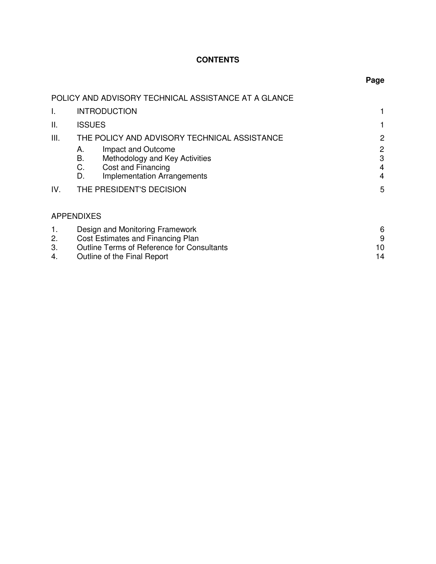# **CONTENTS**

| ×<br>. .<br>۰.<br>.,<br>۰. |
|----------------------------|
|----------------------------|

|                      | POLICY AND ADVISORY TECHNICAL ASSISTANCE AT A GLANCE                                                                                              |                    |  |  |
|----------------------|---------------------------------------------------------------------------------------------------------------------------------------------------|--------------------|--|--|
| I.                   | <b>INTRODUCTION</b>                                                                                                                               |                    |  |  |
| Ш.                   | <b>ISSUES</b>                                                                                                                                     |                    |  |  |
| III.                 | THE POLICY AND ADVISORY TECHNICAL ASSISTANCE                                                                                                      | 2                  |  |  |
|                      | Impact and Outcome<br>А.<br>Methodology and Key Activities<br>В.<br>Cost and Financing<br>C.<br><b>Implementation Arrangements</b><br>D.          | 2<br>3<br>4<br>4   |  |  |
| IV.                  | THE PRESIDENT'S DECISION                                                                                                                          | 5                  |  |  |
|                      | <b>APPENDIXES</b>                                                                                                                                 |                    |  |  |
| 1.<br>2.<br>3.<br>4. | Design and Monitoring Framework<br>Cost Estimates and Financing Plan<br>Outline Terms of Reference for Consultants<br>Outline of the Final Report | 6<br>9<br>10<br>14 |  |  |

| Outline of the Final Report |  |  |  |
|-----------------------------|--|--|--|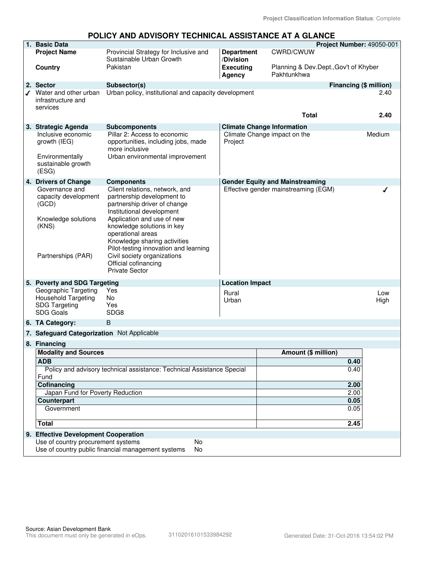# **POLICY AND ADVISORY TECHNICAL ASSISTANCE AT A GLANCE**

|  | 1. Basic Data                                                                                                                                                                  |                                                                                                                                                        |                                      |                                                      | Project Number: 49050-001 |
|--|--------------------------------------------------------------------------------------------------------------------------------------------------------------------------------|--------------------------------------------------------------------------------------------------------------------------------------------------------|--------------------------------------|------------------------------------------------------|---------------------------|
|  | <b>Project Name</b>                                                                                                                                                            | Provincial Strategy for Inclusive and<br>Sustainable Urban Growth                                                                                      | <b>Department</b><br>/Division       | CWRD/CWUW                                            |                           |
|  | Country                                                                                                                                                                        | Pakistan                                                                                                                                               | <b>Executing</b><br>Agency           | Planning & Dev.Dept., Gov't of Khyber<br>Pakhtunkhwa |                           |
|  | 2. Sector                                                                                                                                                                      | Subsector(s)                                                                                                                                           |                                      |                                                      | Financing (\$ million)    |
|  | Water and other urban<br>infrastructure and<br>services                                                                                                                        | Urban policy, institutional and capacity development                                                                                                   |                                      |                                                      | 2.40                      |
|  |                                                                                                                                                                                |                                                                                                                                                        |                                      | <b>Total</b>                                         | 2.40                      |
|  | 3. Strategic Agenda                                                                                                                                                            | <b>Subcomponents</b>                                                                                                                                   | <b>Climate Change Information</b>    |                                                      |                           |
|  | Inclusive economic<br>growth (IEG)                                                                                                                                             | Pillar 2: Access to economic<br>opportunities, including jobs, made<br>more inclusive                                                                  | Project                              | Climate Change impact on the                         | Medium                    |
|  | Environmentally<br>sustainable growth<br>(ESG)                                                                                                                                 | Urban environmental improvement                                                                                                                        |                                      |                                                      |                           |
|  | 4. Drivers of Change                                                                                                                                                           | <b>Components</b>                                                                                                                                      |                                      | <b>Gender Equity and Mainstreaming</b>               |                           |
|  | Governance and<br>capacity development<br>(GCD)                                                                                                                                | Client relations, network, and<br>partnership development to<br>partnership driver of change<br>Institutional development                              | Effective gender mainstreaming (EGM) |                                                      |                           |
|  | Knowledge solutions<br>(KNS)                                                                                                                                                   | Application and use of new<br>knowledge solutions in key<br>operational areas<br>Knowledge sharing activities<br>Pilot-testing innovation and learning |                                      |                                                      |                           |
|  | Partnerships (PAR)                                                                                                                                                             | Civil society organizations<br>Official cofinancing<br><b>Private Sector</b>                                                                           |                                      |                                                      |                           |
|  | 5. Poverty and SDG Targeting                                                                                                                                                   |                                                                                                                                                        | <b>Location Impact</b>               |                                                      |                           |
|  | Geographic Targeting                                                                                                                                                           | Yes                                                                                                                                                    | Rural                                |                                                      | Low                       |
|  | <b>Household Targeting</b>                                                                                                                                                     | <b>No</b>                                                                                                                                              | Urban                                |                                                      | High                      |
|  | <b>SDG Targeting</b><br><b>SDG Goals</b>                                                                                                                                       | Yes<br>SDG8                                                                                                                                            |                                      |                                                      |                           |
|  | 6. TA Category:                                                                                                                                                                | B                                                                                                                                                      |                                      |                                                      |                           |
|  | 7. Safeguard Categorization Not Applicable                                                                                                                                     |                                                                                                                                                        |                                      |                                                      |                           |
|  | 8. Financing                                                                                                                                                                   |                                                                                                                                                        |                                      |                                                      |                           |
|  | <b>Modality and Sources</b><br><b>ADB</b><br>Policy and advisory technical assistance: Technical Assistance Special<br>Fund<br>Cofinancing<br>Japan Fund for Poverty Reduction |                                                                                                                                                        |                                      | Amount (\$ million)                                  |                           |
|  |                                                                                                                                                                                |                                                                                                                                                        |                                      |                                                      | 0.40                      |
|  |                                                                                                                                                                                |                                                                                                                                                        |                                      |                                                      | 0.40                      |
|  |                                                                                                                                                                                |                                                                                                                                                        |                                      |                                                      | 2.00                      |
|  |                                                                                                                                                                                |                                                                                                                                                        |                                      |                                                      | 2.00                      |
|  | Counterpart                                                                                                                                                                    |                                                                                                                                                        |                                      |                                                      | 0.05                      |
|  | Government                                                                                                                                                                     |                                                                                                                                                        |                                      |                                                      | 0.05                      |
|  |                                                                                                                                                                                |                                                                                                                                                        |                                      |                                                      |                           |
|  | <b>Total</b>                                                                                                                                                                   |                                                                                                                                                        |                                      |                                                      | 2.45                      |
|  | 9. Effective Development Cooperation                                                                                                                                           |                                                                                                                                                        |                                      |                                                      |                           |
|  | Use of country procurement systems                                                                                                                                             | No<br>Use of country public financial management systems<br>No                                                                                         |                                      |                                                      |                           |
|  |                                                                                                                                                                                |                                                                                                                                                        |                                      |                                                      |                           |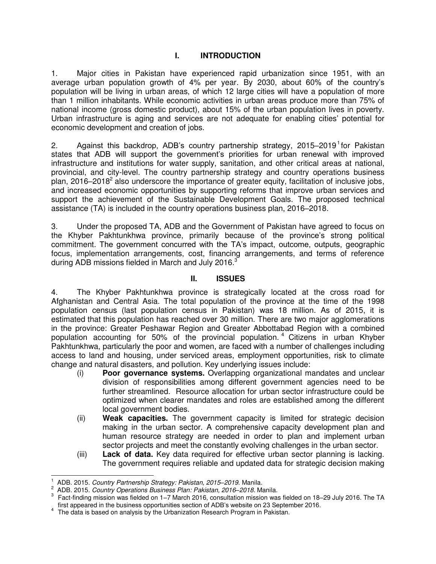# **I. INTRODUCTION**

1. Major cities in Pakistan have experienced rapid urbanization since 1951, with an average urban population growth of 4% per year. By 2030, about 60% of the country's population will be living in urban areas, of which 12 large cities will have a population of more than 1 million inhabitants. While economic activities in urban areas produce more than 75% of national income (gross domestic product), about 15% of the urban population lives in poverty. Urban infrastructure is aging and services are not adequate for enabling cities' potential for economic development and creation of jobs.

2. Against this backdrop, ADB's country partnership strategy, 2015–2019<sup>1</sup> for Pakistan states that ADB will support the government's priorities for urban renewal with improved infrastructure and institutions for water supply, sanitation, and other critical areas at national, provincial, and city-level. The country partnership strategy and country operations business plan, 2016–2018<sup>2</sup> also underscore the importance of greater equity, facilitation of inclusive jobs, and increased economic opportunities by supporting reforms that improve urban services and support the achievement of the Sustainable Development Goals. The proposed technical assistance (TA) is included in the country operations business plan, 2016–2018.

3. Under the proposed TA, ADB and the Government of Pakistan have agreed to focus on the Khyber Pakhtunkhwa province, primarily because of the province's strong political commitment. The government concurred with the TA's impact, outcome, outputs, geographic focus, implementation arrangements, cost, financing arrangements, and terms of reference during ADB missions fielded in March and July 2016.<sup>3</sup>

# **II. ISSUES**

4. The Khyber Pakhtunkhwa province is strategically located at the cross road for Afghanistan and Central Asia. The total population of the province at the time of the 1998 population census (last population census in Pakistan) was 18 million. As of 2015, it is estimated that this population has reached over 30 million. There are two major agglomerations in the province: Greater Peshawar Region and Greater Abbottabad Region with a combined population accounting for 50% of the provincial population. <sup>4</sup> Citizens in urban Khyber Pakhtunkhwa, particularly the poor and women, are faced with a number of challenges including access to land and housing, under serviced areas, employment opportunities, risk to climate change and natural disasters, and pollution. Key underlying issues include:

- (i) **Poor governance systems.** Overlapping organizational mandates and unclear division of responsibilities among different government agencies need to be further streamlined. Resource allocation for urban sector infrastructure could be optimized when clearer mandates and roles are established among the different local government bodies.
- (ii) **Weak capacities.** The government capacity is limited for strategic decision making in the urban sector. A comprehensive capacity development plan and human resource strategy are needed in order to plan and implement urban sector projects and meet the constantly evolving challenges in the urban sector.
- (iii) **Lack of data.** Key data required for effective urban sector planning is lacking. The government requires reliable and updated data for strategic decision making

 $\overline{a}$ 1 ADB. 2015. *Country Partnership Strategy: Pakistan, 2015–2019*. Manila.

<sup>2</sup> ADB. 2015. *Country Operations Business Plan: Pakistan, 2016–2018*. Manila.

<sup>3</sup> Fact-finding mission was fielded on 1–7 March 2016, consultation mission was fielded on 18–29 July 2016. The TA first appeared in the business opportunities section of ADB's website on 23 September 2016.

<sup>&</sup>lt;sup>4</sup> The data is based on analysis by the Urbanization Research Program in Pakistan.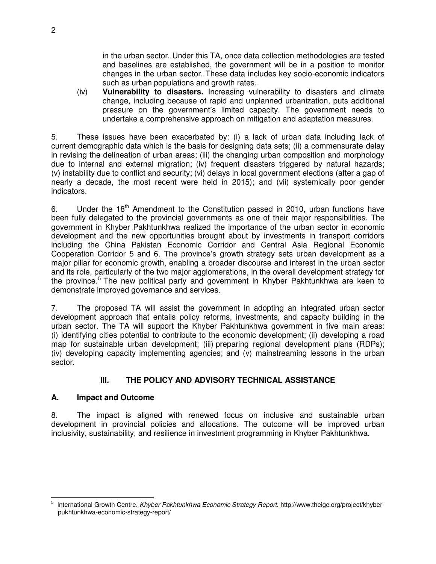in the urban sector. Under this TA, once data collection methodologies are tested and baselines are established, the government will be in a position to monitor changes in the urban sector. These data includes key socio-economic indicators such as urban populations and growth rates.

(iv) **Vulnerability to disasters.** Increasing vulnerability to disasters and climate change, including because of rapid and unplanned urbanization, puts additional pressure on the government's limited capacity. The government needs to undertake a comprehensive approach on mitigation and adaptation measures.

5. These issues have been exacerbated by: (i) a lack of urban data including lack of current demographic data which is the basis for designing data sets; (ii) a commensurate delay in revising the delineation of urban areas; (iii) the changing urban composition and morphology due to internal and external migration; (iv) frequent disasters triggered by natural hazards; (v) instability due to conflict and security; (vi) delays in local government elections (after a gap of nearly a decade, the most recent were held in 2015); and (vii) systemically poor gender indicators.

6. Under the  $18<sup>th</sup>$  Amendment to the Constitution passed in 2010, urban functions have been fully delegated to the provincial governments as one of their major responsibilities. The government in Khyber Pakhtunkhwa realized the importance of the urban sector in economic development and the new opportunities brought about by investments in transport corridors including the China Pakistan Economic Corridor and [Central Asia Regional Economic](http://www.carecprogram.org/)  [Cooperation](http://www.carecprogram.org/) Corridor 5 and 6. The province's growth strategy sets urban development as a major pillar for economic growth, enabling a broader discourse and interest in the urban sector and its role, particularly of the two major agglomerations, in the overall development strategy for the province.<sup>5</sup> The new political party and government in Khyber Pakhtunkhwa are keen to demonstrate improved governance and services.

7. The proposed TA will assist the government in adopting an integrated urban sector development approach that entails policy reforms, investments, and capacity building in the urban sector. The TA will support the Khyber Pakhtunkhwa government in five main areas: (i) identifying cities potential to contribute to the economic development; (ii) developing a road map for sustainable urban development; (iii) preparing regional development plans (RDPs); (iv) developing capacity implementing agencies; and (v) mainstreaming lessons in the urban sector.

# **III. THE POLICY AND ADVISORY TECHNICAL ASSISTANCE**

# **A. Impact and Outcome**

8. The impact is aligned with renewed focus on inclusive and sustainable urban development in provincial policies and allocations. The outcome will be improved urban inclusivity, sustainability, and resilience in investment programming in Khyber Pakhtunkhwa.

 $\overline{a}$ 5 International Growth Centre. *Khyber Pakhtunkhwa Economic Strategy Report*. http://www.theigc.org/project/khyberpukhtunkhwa-economic-strategy-report/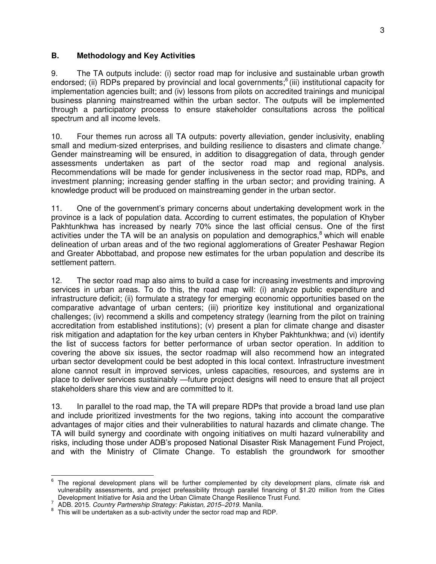# **B. Methodology and Key Activities**

9. The TA outputs include: (i) sector road map for inclusive and sustainable urban growth endorsed; (ii) RDPs prepared by provincial and local governments;<sup>6</sup>(iii) institutional capacity for implementation agencies built; and (iv) lessons from pilots on accredited trainings and municipal business planning mainstreamed within the urban sector. The outputs will be implemented through a participatory process to ensure stakeholder consultations across the political spectrum and all income levels.

10. Four themes run across all TA outputs: poverty alleviation, gender inclusivity, enabling small and medium-sized enterprises, and building resilience to disasters and climate change. Gender mainstreaming will be ensured, in addition to disaggregation of data, through gender assessments undertaken as part of the sector road map and regional analysis. Recommendations will be made for gender inclusiveness in the sector road map, RDPs, and investment planning; increasing gender staffing in the urban sector; and providing training. A knowledge product will be produced on mainstreaming gender in the urban sector.

11. One of the government's primary concerns about undertaking development work in the province is a lack of population data. According to current estimates, the population of Khyber Pakhtunkhwa has increased by nearly 70% since the last official census. One of the first activities under the TA will be an analysis on population and demographics,<sup>8</sup> which will enable delineation of urban areas and of the two regional agglomerations of Greater Peshawar Region and Greater Abbottabad, and propose new estimates for the urban population and describe its settlement pattern.

12. The sector road map also aims to build a case for increasing investments and improving services in urban areas. To do this, the road map will: (i) analyze public expenditure and infrastructure deficit; (ii) formulate a strategy for emerging economic opportunities based on the comparative advantage of urban centers; (iii) prioritize key institutional and organizational challenges; (iv) recommend a skills and competency strategy (learning from the pilot on training accreditation from established institutions); (v) present a plan for climate change and disaster risk mitigation and adaptation for the key urban centers in Khyber Pakhtunkhwa; and (vi) identify the list of success factors for better performance of urban sector operation. In addition to covering the above six issues, the sector roadmap will also recommend how an integrated urban sector development could be best adopted in this local context. Infrastructure investment alone cannot result in improved services, unless capacities, resources, and systems are in place to deliver services sustainably —future project designs will need to ensure that all project stakeholders share this view and are committed to it.

13. In parallel to the road map, the TA will prepare RDPs that provide a broad land use plan and include prioritized investments for the two regions, taking into account the comparative advantages of major cities and their vulnerabilities to natural hazards and climate change. The TA will build synergy and coordinate with ongoing initiatives on multi hazard vulnerability and risks, including those under ADB's proposed National Disaster Risk Management Fund Project, and with the Ministry of Climate Change. To establish the groundwork for smoother

The regional development plans will be further complemented by city development plans, climate risk and the The vulnerability assessments, and project prefeasibility through parallel financing of \$1.20 million from the Cities Development Initiative for Asia and the Urban Climate Change Resilience Trust Fund.

<sup>7</sup> ADB. 2015. *Country Partnership Strategy: Pakistan, 2015–2019*. Manila.

 $8$  This will be undertaken as a sub-activity under the sector road map and RDP.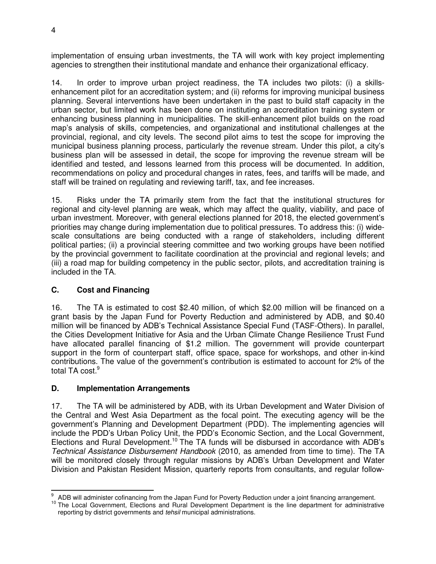implementation of ensuing urban investments, the TA will work with key project implementing agencies to strengthen their institutional mandate and enhance their organizational efficacy.

14. In order to improve urban project readiness, the TA includes two pilots: (i) a skillsenhancement pilot for an accreditation system; and (ii) reforms for improving municipal business planning. Several interventions have been undertaken in the past to build staff capacity in the urban sector, but limited work has been done on instituting an accreditation training system or enhancing business planning in municipalities. The skill-enhancement pilot builds on the road map's analysis of skills, competencies, and organizational and institutional challenges at the provincial, regional, and city levels. The second pilot aims to test the scope for improving the municipal business planning process, particularly the revenue stream. Under this pilot, a city's business plan will be assessed in detail, the scope for improving the revenue stream will be identified and tested, and lessons learned from this process will be documented. In addition, recommendations on policy and procedural changes in rates, fees, and tariffs will be made, and staff will be trained on regulating and reviewing tariff, tax, and fee increases.

15. Risks under the TA primarily stem from the fact that the institutional structures for regional and city-level planning are weak, which may affect the quality, viability, and pace of urban investment. Moreover, with general elections planned for 2018, the elected government's priorities may change during implementation due to political pressures. To address this: (i) widescale consultations are being conducted with a range of stakeholders, including different political parties; (ii) a provincial steering committee and two working groups have been notified by the provincial government to facilitate coordination at the provincial and regional levels; and (iii) a road map for building competency in the public sector, pilots, and accreditation training is included in the TA.

# **C. Cost and Financing**

16. The TA is estimated to cost \$2.40 million, of which \$2.00 million will be financed on a grant basis by the Japan Fund for Poverty Reduction and administered by ADB, and \$0.40 million will be financed by ADB's Technical Assistance Special Fund (TASF-Others). In parallel, the Cities Development Initiative for Asia and the Urban Climate Change Resilience Trust Fund have allocated parallel financing of \$1.2 million. The government will provide counterpart support in the form of counterpart staff, office space, space for workshops, and other in-kind contributions. The value of the government's contribution is estimated to account for 2% of the total TA cost.<sup>9</sup>

# **D. Implementation Arrangements**

17. The TA will be administered by ADB, with its Urban Development and Water Division of the Central and West Asia Department as the focal point. The executing agency will be the government's Planning and Development Department (PDD). The implementing agencies will include the PDD's Urban Policy Unit, the PDD's Economic Section, and the Local Government, Elections and Rural Development.<sup>10</sup> The TA funds will be disbursed in accordance with ADB's *Technical Assistance Disbursement Handbook* (2010, as amended from time to time). The TA will be monitored closely through regular missions by ADB's Urban Development and Water Division and Pakistan Resident Mission, quarterly reports from consultants, and regular follow-

 $\overline{a}$ 9 ADB will administer cofinancing from the Japan Fund for Poverty Reduction under a joint financing arrangement.

<sup>&</sup>lt;sup>10</sup> The Local Government, Elections and Rural Development Department is the line department for administrative reporting by district governments and *tehsil* municipal administrations.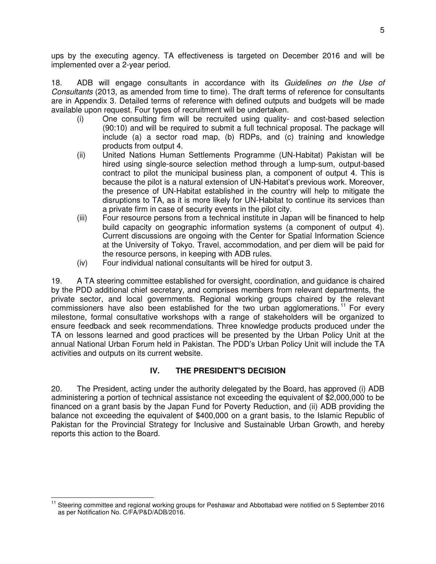ups by the executing agency. TA effectiveness is targeted on December 2016 and will be implemented over a 2-year period.

18. ADB will engage consultants in accordance with its *Guidelines on the Use of Consultants* (2013, as amended from time to time). The draft terms of reference for consultants are in Appendix 3. Detailed terms of reference with defined outputs and budgets will be made available upon request. Four types of recruitment will be undertaken.

- (i) One consulting firm will be recruited using quality- and cost-based selection (90:10) and will be required to submit a full technical proposal. The package will include (a) a sector road map, (b) RDPs, and (c) training and knowledge products from output 4.
- (ii) United Nations Human Settlements Programme (UN-Habitat) Pakistan will be hired using single-source selection method through a lump-sum, output-based contract to pilot the municipal business plan, a component of output 4. This is because the pilot is a natural extension of UN-Habitat's previous work. Moreover, the presence of UN-Habitat established in the country will help to mitigate the disruptions to TA, as it is more likely for UN-Habitat to continue its services than a private firm in case of security events in the pilot city.
- (iii) Four resource persons from a technical institute in Japan will be financed to help build capacity on geographic information systems (a component of output 4). Current discussions are ongoing with the Center for Spatial Information Science at the University of Tokyo. Travel, accommodation, and per diem will be paid for the resource persons, in keeping with ADB rules.
- (iv) Four individual national consultants will be hired for output 3.

19. A TA steering committee established for oversight, coordination, and guidance is chaired by the PDD additional chief secretary, and comprises members from relevant departments, the private sector, and local governments. Regional working groups chaired by the relevant commissioners have also been established for the two urban agglomerations.<sup>11</sup> For every milestone, formal consultative workshops with a range of stakeholders will be organized to ensure feedback and seek recommendations. Three knowledge products produced under the TA on lessons learned and good practices will be presented by the Urban Policy Unit at the annual National Urban Forum held in Pakistan. The PDD's Urban Policy Unit will include the TA activities and outputs on its current website.

# **IV. THE PRESIDENT'S DECISION**

20. The President, acting under the authority delegated by the Board, has approved (i) ADB administering a portion of technical assistance not exceeding the equivalent of \$2,000,000 to be financed on a grant basis by the Japan Fund for Poverty Reduction, and (ii) ADB providing the balance not exceeding the equivalent of \$400,000 on a grant basis, to the Islamic Republic of Pakistan for the Provincial Strategy for Inclusive and Sustainable Urban Growth, and hereby reports this action to the Board.

 $\overline{a}$ <sup>11</sup> Steering committee and regional working groups for Peshawar and Abbottabad were notified on 5 September 2016 as per Notification No. C/FA/P&D/ADB/2016.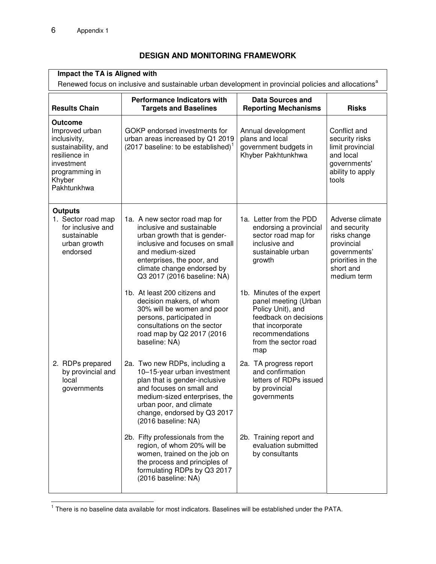# **DESIGN AND MONITORING FRAMEWORK**

| Impact the TA is Aligned with<br>Renewed focus on inclusive and sustainable urban development in provincial policies and allocations <sup>a</sup> |                                                                                                                                                                                                                                                                                                                                                                                                                                                 |                                                                                                                                                                                                                                                                                            |                                                                                                                                |  |  |  |
|---------------------------------------------------------------------------------------------------------------------------------------------------|-------------------------------------------------------------------------------------------------------------------------------------------------------------------------------------------------------------------------------------------------------------------------------------------------------------------------------------------------------------------------------------------------------------------------------------------------|--------------------------------------------------------------------------------------------------------------------------------------------------------------------------------------------------------------------------------------------------------------------------------------------|--------------------------------------------------------------------------------------------------------------------------------|--|--|--|
| <b>Results Chain</b>                                                                                                                              | <b>Performance Indicators with</b><br><b>Data Sources and</b><br><b>Targets and Baselines</b><br><b>Reporting Mechanisms</b>                                                                                                                                                                                                                                                                                                                    |                                                                                                                                                                                                                                                                                            | <b>Risks</b>                                                                                                                   |  |  |  |
| Outcome<br>Improved urban<br>inclusivity,<br>sustainability, and<br>resilience in<br>investment<br>programming in<br>Khyber<br>Pakhtunkhwa        | GOKP endorsed investments for<br>urban areas increased by Q1 2019<br>(2017 baseline: to be established) <sup>1</sup>                                                                                                                                                                                                                                                                                                                            | Annual development<br>plans and local<br>government budgets in<br>Khyber Pakhtunkhwa                                                                                                                                                                                                       | Conflict and<br>security risks<br>limit provincial<br>and local<br>governments'<br>ability to apply<br>tools                   |  |  |  |
| <b>Outputs</b><br>1. Sector road map<br>for inclusive and<br>sustainable<br>urban growth<br>endorsed                                              | 1a. A new sector road map for<br>inclusive and sustainable<br>urban growth that is gender-<br>inclusive and focuses on small<br>and medium-sized<br>enterprises, the poor, and<br>climate change endorsed by<br>Q3 2017 (2016 baseline: NA)<br>1b. At least 200 citizens and<br>decision makers, of whom<br>30% will be women and poor<br>persons, participated in<br>consultations on the sector<br>road map by Q2 2017 (2016<br>baseline: NA) | 1a. Letter from the PDD<br>endorsing a provincial<br>sector road map for<br>inclusive and<br>sustainable urban<br>growth<br>1b. Minutes of the expert<br>panel meeting (Urban<br>Policy Unit), and<br>feedback on decisions<br>that incorporate<br>recommendations<br>from the sector road | Adverse climate<br>and security<br>risks change<br>provincial<br>governments'<br>priorities in the<br>short and<br>medium term |  |  |  |
| 2. RDPs prepared<br>by provincial and<br>local<br>governments                                                                                     | 2a. Two new RDPs, including a<br>10-15-year urban investment<br>plan that is gender-inclusive<br>and focuses on small and<br>medium-sized enterprises, the<br>urban poor, and climate<br>change, endorsed by Q3 2017<br>(2016 baseline: NA)<br>2b. Fifty professionals from the<br>region, of whom 20% will be<br>women, trained on the job on<br>the process and principles of<br>formulating RDPs by Q3 2017<br>(2016 baseline: NA)           | map<br>2a. TA progress report<br>and confirmation<br>letters of RDPs issued<br>by provincial<br>governments<br>2b. Training report and<br>evaluation submitted<br>by consultants                                                                                                           |                                                                                                                                |  |  |  |

There is no baseline data available for most indicators. Baselines will be established under the PATA.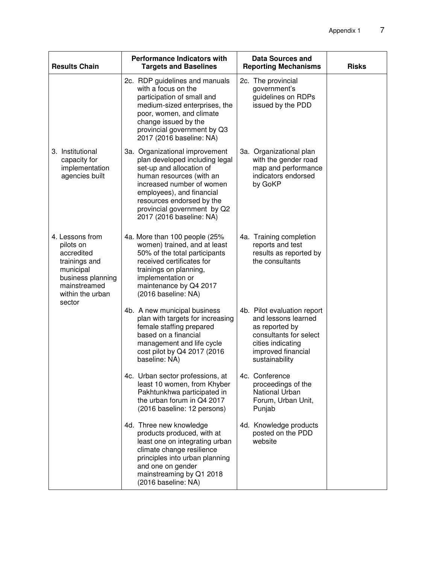| <b>Results Chain</b>                                                                                                                        | <b>Performance Indicators with</b><br><b>Targets and Baselines</b>                                                                                                                                                                                                         | <b>Data Sources and</b><br><b>Reporting Mechanisms</b>                                                                                                      | <b>Risks</b> |
|---------------------------------------------------------------------------------------------------------------------------------------------|----------------------------------------------------------------------------------------------------------------------------------------------------------------------------------------------------------------------------------------------------------------------------|-------------------------------------------------------------------------------------------------------------------------------------------------------------|--------------|
|                                                                                                                                             | 2c. RDP guidelines and manuals<br>with a focus on the<br>participation of small and<br>medium-sized enterprises, the<br>poor, women, and climate<br>change issued by the<br>provincial government by Q3<br>2017 (2016 baseline: NA)                                        | 2c. The provincial<br>government's<br>guidelines on RDPs<br>issued by the PDD                                                                               |              |
| 3. Institutional<br>capacity for<br>implementation<br>agencies built                                                                        | 3a. Organizational improvement<br>plan developed including legal<br>set-up and allocation of<br>human resources (with an<br>increased number of women<br>employees), and financial<br>resources endorsed by the<br>provincial government by Q2<br>2017 (2016 baseline: NA) | 3a. Organizational plan<br>with the gender road<br>map and performance<br>indicators endorsed<br>by GoKP                                                    |              |
| 4. Lessons from<br>pilots on<br>accredited<br>trainings and<br>municipal<br>business planning<br>mainstreamed<br>within the urban<br>sector | 4a. More than 100 people (25%<br>women) trained, and at least<br>50% of the total participants<br>received certificates for<br>trainings on planning,<br>implementation or<br>maintenance by Q4 2017<br>(2016 baseline: NA)                                                | 4a. Training completion<br>reports and test<br>results as reported by<br>the consultants                                                                    |              |
|                                                                                                                                             | 4b. A new municipal business<br>plan with targets for increasing<br>female staffing prepared<br>based on a financial<br>management and life cycle<br>cost pilot by Q4 2017 (2016<br>baseline: NA)                                                                          | 4b. Pilot evaluation report<br>and lessons learned<br>as reported by<br>consultants for select<br>cities indicating<br>improved financial<br>sustainability |              |
|                                                                                                                                             | 4c. Urban sector professions, at<br>least 10 women, from Khyber<br>Pakhtunkhwa participated in<br>the urban forum in Q4 2017<br>(2016 baseline: 12 persons)                                                                                                                | 4c. Conference<br>proceedings of the<br>National Urban<br>Forum, Urban Unit,<br>Punjab                                                                      |              |
|                                                                                                                                             | 4d. Three new knowledge<br>products produced, with at<br>least one on integrating urban<br>climate change resilience<br>principles into urban planning<br>and one on gender<br>mainstreaming by Q1 2018<br>(2016 baseline: NA)                                             | 4d. Knowledge products<br>posted on the PDD<br>website                                                                                                      |              |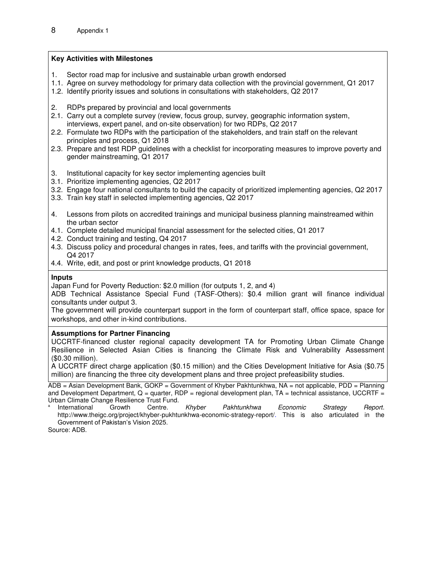#### **Key Activities with Milestones**

- 1. Sector road map for inclusive and sustainable urban growth endorsed
- 1.1. Agree on survey methodology for primary data collection with the provincial government, Q1 2017
- 1.2. Identify priority issues and solutions in consultations with stakeholders, Q2 2017
- 2. RDPs prepared by provincial and local governments
- 2.1. Carry out a complete survey (review, focus group, survey, geographic information system, interviews, expert panel, and on-site observation) for two RDPs, Q2 2017
- 2.2. Formulate two RDPs with the participation of the stakeholders, and train staff on the relevant principles and process, Q1 2018
- 2.3. Prepare and test RDP guidelines with a checklist for incorporating measures to improve poverty and gender mainstreaming, Q1 2017
- 3. Institutional capacity for key sector implementing agencies built
- 3.1. Prioritize implementing agencies, Q2 2017
- 3.2. Engage four national consultants to build the capacity of prioritized implementing agencies, Q2 2017
- 3.3. Train key staff in selected implementing agencies, Q2 2017
- 4. Lessons from pilots on accredited trainings and municipal business planning mainstreamed within the urban sector
- 4.1. Complete detailed municipal financial assessment for the selected cities, Q1 2017
- 4.2. Conduct training and testing, Q4 2017
- 4.3. Discuss policy and procedural changes in rates, fees, and tariffs with the provincial government, Q4 2017
- 4.4. Write, edit, and post or print knowledge products, Q1 2018

#### **Inputs**

Japan Fund for Poverty Reduction: \$2.0 million (for outputs 1, 2, and 4)

ADB Technical Assistance Special Fund (TASF-Others): \$0.4 million grant will finance individual consultants under output 3.

The government will provide counterpart support in the form of counterpart staff, office space, space for workshops, and other in-kind contributions.

#### **Assumptions for Partner Financing**

UCCRTF-financed cluster regional capacity development TA for Promoting Urban Climate Change Resilience in Selected Asian Cities is financing the Climate Risk and Vulnerability Assessment (\$0.30 million).

A UCCRTF direct charge application (\$0.15 million) and the Cities Development Initiative for Asia (\$0.75 million) are financing the three city development plans and three project prefeasibility studies.

 $\overline{ADB}$  = Asian Development Bank, GOKP = Government of Khyber Pakhtunkhwa, NA = not applicable, PDD = Planning and Development Department,  $Q =$  quarter, RDP = regional development plan, TA = technical assistance, UCCRTF = Urban Climate Change Resilience Trust Fund. a

International Growth Centre. *Khyber Pakhtunkhwa Economic Strategy Report*. http://www.theigc.org/project/khyber-pukhtunkhwa-economic-strategy-report/. This is also articulated in the Government of Pakistan's Vision 2025.

Source: ADB.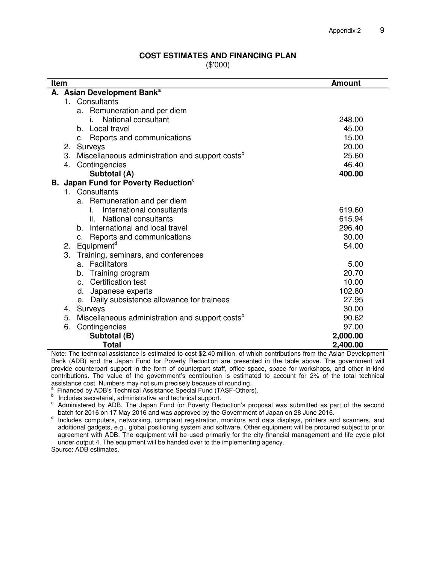#### **COST ESTIMATES AND FINANCING PLAN**

(\$'000)

|                              | Item<br><b>Amount</b>                                                                                                         |                                     |  |  |  |
|------------------------------|-------------------------------------------------------------------------------------------------------------------------------|-------------------------------------|--|--|--|
|                              | A. Asian Development Bank <sup>a</sup>                                                                                        |                                     |  |  |  |
|                              | 1. Consultants                                                                                                                |                                     |  |  |  |
|                              | a. Remuneration and per diem                                                                                                  |                                     |  |  |  |
|                              | National consultant<br>i.                                                                                                     | 248.00                              |  |  |  |
|                              | b. Local travel                                                                                                               | 45.00                               |  |  |  |
|                              | c. Reports and communications                                                                                                 | 15.00                               |  |  |  |
|                              | Surveys<br>2.                                                                                                                 | 20.00                               |  |  |  |
|                              | 3.<br>Miscellaneous administration and support costs <sup>b</sup>                                                             | 25.60                               |  |  |  |
|                              | Contingencies<br>4.                                                                                                           | 46.40                               |  |  |  |
|                              | Subtotal (A)                                                                                                                  | 400.00                              |  |  |  |
|                              | B. Japan Fund for Poverty Reduction <sup>c</sup>                                                                              |                                     |  |  |  |
|                              | 1. Consultants                                                                                                                |                                     |  |  |  |
|                              | a. Remuneration and per diem                                                                                                  |                                     |  |  |  |
|                              | International consultants<br>İ.                                                                                               | 619.60                              |  |  |  |
|                              | National consultants<br>Ш.                                                                                                    | 615.94                              |  |  |  |
|                              | International and local travel<br>b.                                                                                          | 296.40                              |  |  |  |
|                              | c. Reports and communications                                                                                                 | 30.00                               |  |  |  |
| Equipment <sup>d</sup><br>2. |                                                                                                                               | 54.00                               |  |  |  |
|                              | 3.<br>Training, seminars, and conferences                                                                                     |                                     |  |  |  |
|                              | a. Facilitators                                                                                                               | 5.00                                |  |  |  |
|                              | Training program<br>b.                                                                                                        | 20.70                               |  |  |  |
|                              | c. Certification test                                                                                                         | 10.00                               |  |  |  |
|                              | d. Japanese experts                                                                                                           | 102.80                              |  |  |  |
|                              | e. Daily subsistence allowance for trainees                                                                                   | 27.95                               |  |  |  |
|                              | Surveys<br>4.                                                                                                                 | 30.00                               |  |  |  |
|                              | Miscellaneous administration and support costs <sup>b</sup><br>5.                                                             | 90.62                               |  |  |  |
|                              | 6.<br>Contingencies                                                                                                           | 97.00                               |  |  |  |
|                              | 2,000.00<br>Subtotal (B)                                                                                                      |                                     |  |  |  |
|                              | <b>Total</b><br>eistenes is estimated to east 00.40 million, of urbish contributions from<br>ومراود المعامر والمعادية المقولة | 2,400.00<br>د ماله<br>Asian Davalan |  |  |  |

Note: The technical assistance is estimated to cost \$2.40 million, of which contributions from the Asian Development Bank (ADB) and the Japan Fund for Poverty Reduction are presented in the table above. The government will provide counterpart support in the form of counterpart staff, office space, space for workshops, and other in-kind contributions. The value of the government's contribution is estimated to account for 2% of the total technical assistance cost. Numbers may not sum precisely because of rounding.<br><sup>a</sup> Financed by ADP's Technical Assistance Special Fund (TASE Others

Financed by ADB's Technical Assistance Special Fund (TASF-Others).

b<br> **b** Includes secretarial, administrative and technical support.

<sup>c</sup> Administered by ADB. The Japan Fund for Poverty Reduction's proposal was submitted as part of the second batch for 2016 on 17 May 2016 and was approved by the Government of Japan on 28 June 2016.

d Includes computers, networking, complaint registration, monitors and data displays, printers and scanners, and additional gadgets, e.g., global positioning system and software. Other equipment will be procured subject to prior agreement with ADB. The equipment will be used primarily for the city financial management and life cycle pilot under output 4. The equipment will be handed over to the implementing agency.

Source: ADB estimates.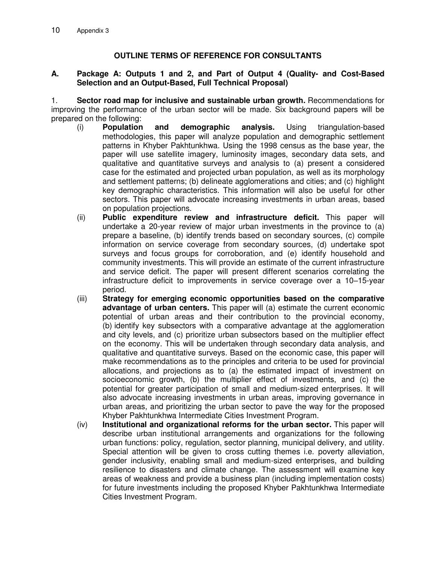# **OUTLINE TERMS OF REFERENCE FOR CONSULTANTS**

#### **A. Package A: Outputs 1 and 2, and Part of Output 4 (Quality- and Cost-Based Selection and an Output-Based, Full Technical Proposal)**

1. **Sector road map for inclusive and sustainable urban growth.** Recommendations for improving the performance of the urban sector will be made. Six background papers will be prepared on the following:

- (i) **Population and demographic analysis.** Using triangulation-based methodologies, this paper will analyze population and demographic settlement patterns in Khyber Pakhtunkhwa. Using the 1998 census as the base year, the paper will use satellite imagery, luminosity images, secondary data sets, and qualitative and quantitative surveys and analysis to (a) present a considered case for the estimated and projected urban population, as well as its morphology and settlement patterns; (b) delineate agglomerations and cities; and (c) highlight key demographic characteristics. This information will also be useful for other sectors. This paper will advocate increasing investments in urban areas, based on population projections.
- (ii) **Public expenditure review and infrastructure deficit.** This paper will undertake a 20-year review of major urban investments in the province to (a) prepare a baseline, (b) identify trends based on secondary sources, (c) compile information on service coverage from secondary sources, (d) undertake spot surveys and focus groups for corroboration, and (e) identify household and community investments. This will provide an estimate of the current infrastructure and service deficit. The paper will present different scenarios correlating the infrastructure deficit to improvements in service coverage over a 10–15-year period.
- (iii) **Strategy for emerging economic opportunities based on the comparative advantage of urban centers.** This paper will (a) estimate the current economic potential of urban areas and their contribution to the provincial economy, (b) identify key subsectors with a comparative advantage at the agglomeration and city levels, and (c) prioritize urban subsectors based on the multiplier effect on the economy. This will be undertaken through secondary data analysis, and qualitative and quantitative surveys. Based on the economic case, this paper will make recommendations as to the principles and criteria to be used for provincial allocations, and projections as to (a) the estimated impact of investment on socioeconomic growth, (b) the multiplier effect of investments, and (c) the potential for greater participation of small and medium-sized enterprises. It will also advocate increasing investments in urban areas, improving governance in urban areas, and prioritizing the urban sector to pave the way for the proposed Khyber Pakhtunkhwa Intermediate Cities Investment Program.
- (iv) **Institutional and organizational reforms for the urban sector.** This paper will describe urban institutional arrangements and organizations for the following urban functions: policy, regulation, sector planning, municipal delivery, and utility. Special attention will be given to cross cutting themes i.e. poverty alleviation, gender inclusivity, enabling small and medium-sized enterprises, and building resilience to disasters and climate change. The assessment will examine key areas of weakness and provide a business plan (including implementation costs) for future investments including the proposed Khyber Pakhtunkhwa Intermediate Cities Investment Program.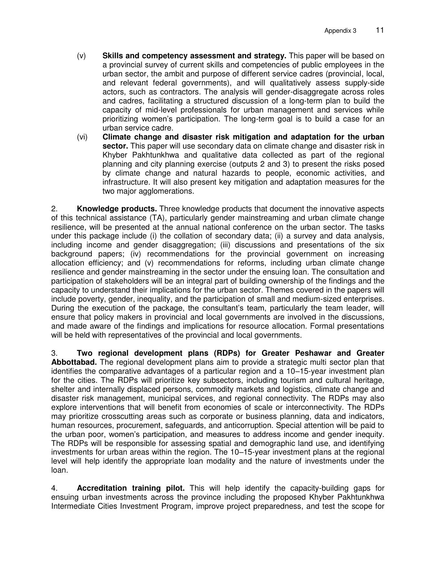- (v) **Skills and competency assessment and strategy.** This paper will be based on a provincial survey of current skills and competencies of public employees in the urban sector, the ambit and purpose of different service cadres (provincial, local, and relevant federal governments), and will qualitatively assess supply-side actors, such as contractors. The analysis will gender-disaggregate across roles and cadres, facilitating a structured discussion of a long-term plan to build the capacity of mid-level professionals for urban management and services while prioritizing women's participation. The long-term goal is to build a case for an urban service cadre.
- (vi) **Climate change and disaster risk mitigation and adaptation for the urban sector.** This paper will use secondary data on climate change and disaster risk in Khyber Pakhtunkhwa and qualitative data collected as part of the regional planning and city planning exercise (outputs 2 and 3) to present the risks posed by climate change and natural hazards to people, economic activities, and infrastructure. It will also present key mitigation and adaptation measures for the two major agglomerations.

2. **Knowledge products.** Three knowledge products that document the innovative aspects of this technical assistance (TA), particularly gender mainstreaming and urban climate change resilience, will be presented at the annual national conference on the urban sector. The tasks under this package include (i) the collation of secondary data; (ii) a survey and data analysis, including income and gender disaggregation; (iii) discussions and presentations of the six background papers; (iv) recommendations for the provincial government on increasing allocation efficiency; and (v) recommendations for reforms, including urban climate change resilience and gender mainstreaming in the sector under the ensuing loan. The consultation and participation of stakeholders will be an integral part of building ownership of the findings and the capacity to understand their implications for the urban sector. Themes covered in the papers will include poverty, gender, inequality, and the participation of small and medium-sized enterprises. During the execution of the package, the consultant's team, particularly the team leader, will ensure that policy makers in provincial and local governments are involved in the discussions, and made aware of the findings and implications for resource allocation. Formal presentations will be held with representatives of the provincial and local governments.

3. **Two regional development plans (RDPs) for Greater Peshawar and Greater Abbottabad.** The regional development plans aim to provide a strategic multi sector plan that identifies the comparative advantages of a particular region and a 10–15-year investment plan for the cities. The RDPs will prioritize key subsectors, including tourism and cultural heritage, shelter and internally displaced persons, commodity markets and logistics, climate change and disaster risk management, municipal services, and regional connectivity. The RDPs may also explore interventions that will benefit from economies of scale or interconnectivity. The RDPs may prioritize crosscutting areas such as corporate or business planning, data and indicators, human resources, procurement, safeguards, and anticorruption. Special attention will be paid to the urban poor, women's participation, and measures to address income and gender inequity. The RDPs will be responsible for assessing spatial and demographic land use, and identifying investments for urban areas within the region. The 10–15-year investment plans at the regional level will help identify the appropriate loan modality and the nature of investments under the loan.

4. **Accreditation training pilot.** This will help identify the capacity-building gaps for ensuing urban investments across the province including the proposed Khyber Pakhtunkhwa Intermediate Cities Investment Program, improve project preparedness, and test the scope for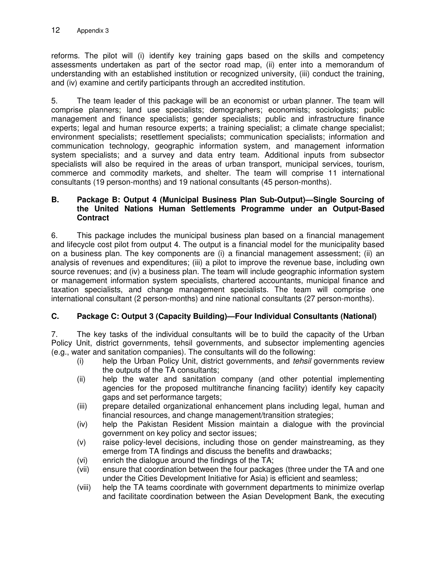reforms. The pilot will (i) identify key training gaps based on the skills and competency assessments undertaken as part of the sector road map, (ii) enter into a memorandum of understanding with an established institution or recognized university, (iii) conduct the training, and (iv) examine and certify participants through an accredited institution.

5. The team leader of this package will be an economist or urban planner. The team will comprise planners; land use specialists; demographers; economists; sociologists; public management and finance specialists; gender specialists; public and infrastructure finance experts; legal and human resource experts; a training specialist; a climate change specialist; environment specialists; resettlement specialists; communication specialists; information and communication technology, geographic information system, and management information system specialists; and a survey and data entry team. Additional inputs from subsector specialists will also be required in the areas of urban transport, municipal services, tourism, commerce and commodity markets, and shelter. The team will comprise 11 international consultants (19 person-months) and 19 national consultants (45 person-months).

# **B. Package B: Output 4 (Municipal Business Plan Sub-Output)—Single Sourcing of the United Nations Human Settlements Programme under an Output-Based Contract**

6. This package includes the municipal business plan based on a financial management and lifecycle cost pilot from output 4. The output is a financial model for the municipality based on a business plan. The key components are (i) a financial management assessment; (ii) an analysis of revenues and expenditures; (iii) a pilot to improve the revenue base, including own source revenues; and (iv) a business plan. The team will include geographic information system or management information system specialists, chartered accountants, municipal finance and taxation specialists, and change management specialists. The team will comprise one international consultant (2 person-months) and nine national consultants (27 person-months).

# **C. Package C: Output 3 (Capacity Building)—Four Individual Consultants (National)**

7. The key tasks of the individual consultants will be to build the capacity of the Urban Policy Unit, district governments, tehsil governments, and subsector implementing agencies (e.g., water and sanitation companies). The consultants will do the following:

- (i) help the Urban Policy Unit, district governments, and *tehsil* governments review the outputs of the TA consultants;
- (ii) help the water and sanitation company (and other potential implementing agencies for the proposed multitranche financing facility) identify key capacity gaps and set performance targets;
- (iii) prepare detailed organizational enhancement plans including legal, human and financial resources, and change management/transition strategies;
- (iv) help the Pakistan Resident Mission maintain a dialogue with the provincial government on key policy and sector issues;
- (v) raise policy-level decisions, including those on gender mainstreaming, as they emerge from TA findings and discuss the benefits and drawbacks;
- (vi) enrich the dialogue around the findings of the TA;
- (vii) ensure that coordination between the four packages (three under the TA and one under the Cities Development Initiative for Asia) is efficient and seamless;
- (viii) help the TA teams coordinate with government departments to minimize overlap and facilitate coordination between the Asian Development Bank, the executing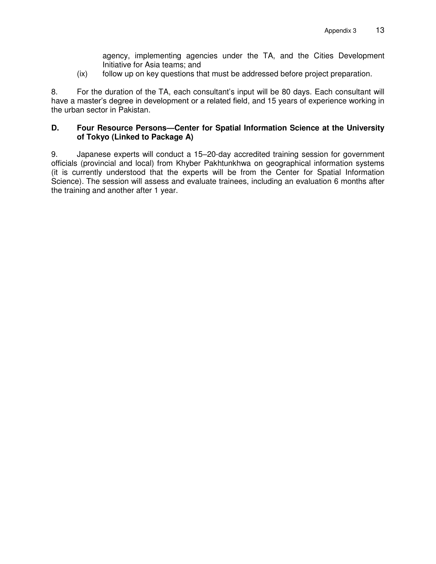agency, implementing agencies under the TA, and the Cities Development Initiative for Asia teams; and

(ix) follow up on key questions that must be addressed before project preparation.

8. For the duration of the TA, each consultant's input will be 80 days. Each consultant will have a master's degree in development or a related field, and 15 years of experience working in the urban sector in Pakistan.

# **D. Four Resource Persons—Center for Spatial Information Science at the University of Tokyo (Linked to Package A)**

9. Japanese experts will conduct a 15–20-day accredited training session for government officials (provincial and local) from Khyber Pakhtunkhwa on geographical information systems (it is currently understood that the experts will be from the Center for Spatial Information Science). The session will assess and evaluate trainees, including an evaluation 6 months after the training and another after 1 year.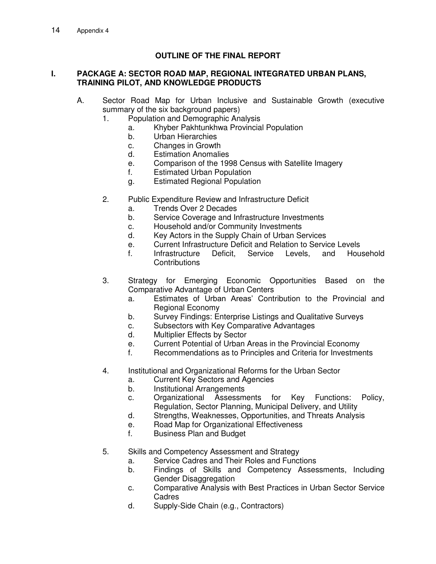# **OUTLINE OF THE FINAL REPORT**

## **I. PACKAGE A: SECTOR ROAD MAP, REGIONAL INTEGRATED URBAN PLANS, TRAINING PILOT, AND KNOWLEDGE PRODUCTS**

- A. Sector Road Map for Urban Inclusive and Sustainable Growth (executive summary of the six background papers)
	- 1. Population and Demographic Analysis
		- a. Khyber Pakhtunkhwa Provincial Population
		- b. Urban Hierarchies
		- c. Changes in Growth
		- d. Estimation Anomalies
		- e. Comparison of the 1998 Census with Satellite Imagery
		- f. Estimated Urban Population
		- g. Estimated Regional Population
	- 2. Public Expenditure Review and Infrastructure Deficit
		- a. Trends Over 2 Decades
		- b. Service Coverage and Infrastructure Investments
		- c. Household and/or Community Investments
		- d. Key Actors in the Supply Chain of Urban Services
		- e. Current Infrastructure Deficit and Relation to Service Levels
		- f. Infrastructure Deficit, Service Levels, and Household **Contributions**
	- 3. Strategy for Emerging Economic Opportunities Based on the Comparative Advantage of Urban Centers
		- a. Estimates of Urban Areas' Contribution to the Provincial and Regional Economy
		- b. Survey Findings: Enterprise Listings and Qualitative Surveys
		- c. Subsectors with Key Comparative Advantages
		- d. Multiplier Effects by Sector
		- e. Current Potential of Urban Areas in the Provincial Economy
		- f. Recommendations as to Principles and Criteria for Investments
	- 4. Institutional and Organizational Reforms for the Urban Sector
		- a. Current Key Sectors and Agencies
		- b. Institutional Arrangements
		- c. Organizational Assessments for Key Functions: Policy, Regulation, Sector Planning, Municipal Delivery, and Utility
		- d. Strengths, Weaknesses, Opportunities, and Threats Analysis
		- e. Road Map for Organizational Effectiveness
		- f. Business Plan and Budget
	- 5. Skills and Competency Assessment and Strategy
		- a. Service Cadres and Their Roles and Functions
		- b. Findings of Skills and Competency Assessments, Including Gender Disaggregation
		- c. Comparative Analysis with Best Practices in Urban Sector Service Cadres
		- d. Supply-Side Chain (e.g., Contractors)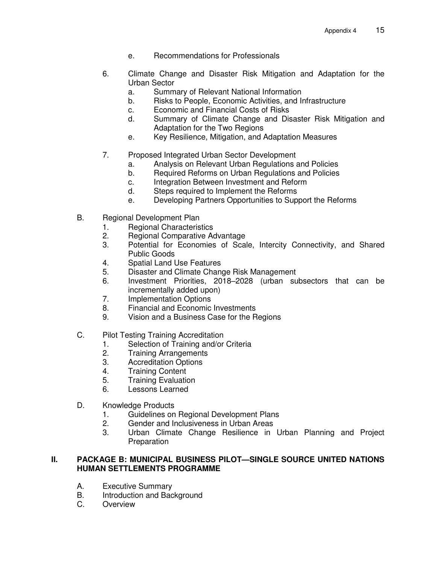- e. Recommendations for Professionals
- 6. Climate Change and Disaster Risk Mitigation and Adaptation for the Urban Sector
	- a. Summary of Relevant National Information
	- b. Risks to People, Economic Activities, and Infrastructure
	- c. Economic and Financial Costs of Risks
	- d. Summary of Climate Change and Disaster Risk Mitigation and Adaptation for the Two Regions
	- e. Key Resilience, Mitigation, and Adaptation Measures
- 7. Proposed Integrated Urban Sector Development
	- a. Analysis on Relevant Urban Regulations and Policies
	- b. Required Reforms on Urban Regulations and Policies
	- c. Integration Between Investment and Reform
	- d. Steps required to Implement the Reforms
	- e. Developing Partners Opportunities to Support the Reforms
- B. Regional Development Plan
	- 1. Regional Characteristics
	- 2. Regional Comparative Advantage
	- 3. Potential for Economies of Scale, Intercity Connectivity, and Shared Public Goods
	- 4. Spatial Land Use Features
	- 5. Disaster and Climate Change Risk Management
	- 6. Investment Priorities, 2018–2028 (urban subsectors that can be incrementally added upon)
	- 7. Implementation Options
	- 8. Financial and Economic Investments
	- 9. Vision and a Business Case for the Regions
- C. Pilot Testing Training Accreditation
	- 1. Selection of Training and/or Criteria<br>2. Training Arrangements
	- **Training Arrangements**
	- 3. Accreditation Options
	- 4. Training Content
	- 5. Training Evaluation
	- 6. Lessons Learned
- D. Knowledge Products
	- 1. Guidelines on Regional Development Plans
	- 2. Gender and Inclusiveness in Urban Areas
	- 3. Urban Climate Change Resilience in Urban Planning and Project Preparation

# **II. PACKAGE B: MUNICIPAL BUSINESS PILOT—SINGLE SOURCE UNITED NATIONS HUMAN SETTLEMENTS PROGRAMME**

- A. Executive Summary
- B. Introduction and Background
- C. Overview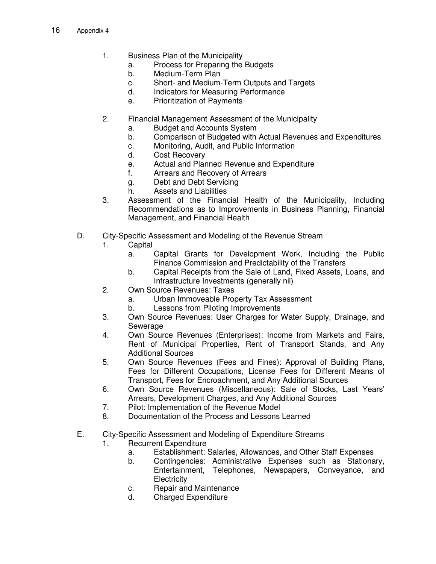- 1. Business Plan of the Municipality
	- a. Process for Preparing the Budgets
	- b. Medium-Term Plan
	- c. Short- and Medium-Term Outputs and Targets
	- d. Indicators for Measuring Performance
	- e. Prioritization of Payments
- 2. Financial Management Assessment of the Municipality
	- a. Budget and Accounts System
	- b. Comparison of Budgeted with Actual Revenues and Expenditures
	- c. Monitoring, Audit, and Public Information
	- d. Cost Recovery
	- e. Actual and Planned Revenue and Expenditure
	- f. Arrears and Recovery of Arrears
	- g. Debt and Debt Servicing
	- h. Assets and Liabilities
- 3. Assessment of the Financial Health of the Municipality, Including Recommendations as to Improvements in Business Planning, Financial Management, and Financial Health
- D. City-Specific Assessment and Modeling of the Revenue Stream
	- 1. Capital
		- a. Capital Grants for Development Work, Including the Public Finance Commission and Predictability of the Transfers
		- b. Capital Receipts from the Sale of Land, Fixed Assets, Loans, and Infrastructure Investments (generally nil)
	- 2. Own Source Revenues: Taxes
		- a. Urban Immoveable Property Tax Assessment
		- b. Lessons from Piloting Improvements
	- 3. Own Source Revenues: User Charges for Water Supply, Drainage, and Sewerage
	- 4. Own Source Revenues (Enterprises): Income from Markets and Fairs, Rent of Municipal Properties, Rent of Transport Stands, and Any Additional Sources
	- 5. Own Source Revenues (Fees and Fines): Approval of Building Plans, Fees for Different Occupations, License Fees for Different Means of Transport, Fees for Encroachment, and Any Additional Sources
	- 6. Own Source Revenues (Miscellaneous): Sale of Stocks, Last Years' Arrears, Development Charges, and Any Additional Sources
	- 7. Pilot: Implementation of the Revenue Model
	- 8. Documentation of the Process and Lessons Learned
- E. City-Specific Assessment and Modeling of Expenditure Streams
	- 1. Recurrent Expenditure
		- a. Establishment: Salaries, Allowances, and Other Staff Expenses
		- b. Contingencies: Administrative Expenses such as Stationary, Entertainment, Telephones, Newspapers, Conveyance, and **Electricity**
		- c. Repair and Maintenance
		- d. Charged Expenditure